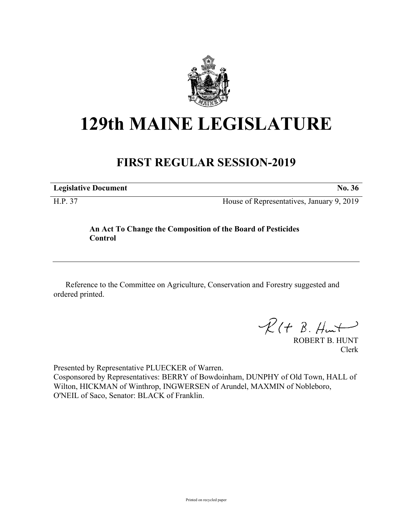

# **129th MAINE LEGISLATURE**

# **FIRST REGULAR SESSION-2019**

**Legislative Document No. 36**

H.P. 37 House of Representatives, January 9, 2019

## **An Act To Change the Composition of the Board of Pesticides Control**

Reference to the Committee on Agriculture, Conservation and Forestry suggested and ordered printed.

 $\mathcal{R}(t \; \mathcal{B}, \mathcal{H}_{\mathsf{int}})$ 

ROBERT B. HUNT Clerk

Presented by Representative PLUECKER of Warren. Cosponsored by Representatives: BERRY of Bowdoinham, DUNPHY of Old Town, HALL of Wilton, HICKMAN of Winthrop, INGWERSEN of Arundel, MAXMIN of Nobleboro, O'NEIL of Saco, Senator: BLACK of Franklin.